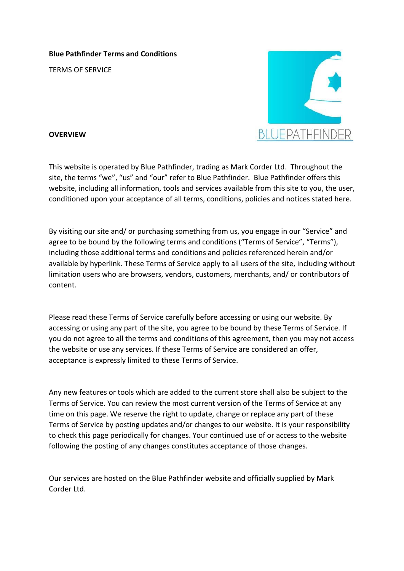**Blue Pathfinder Terms and Conditions**

TERMS OF SERVICE



#### **OVERVIEW**

This website is operated by Blue Pathfinder, trading as Mark Corder Ltd. Throughout the site, the terms "we", "us" and "our" refer to Blue Pathfinder. Blue Pathfinder offers this website, including all information, tools and services available from this site to you, the user, conditioned upon your acceptance of all terms, conditions, policies and notices stated here.

By visiting our site and/ or purchasing something from us, you engage in our "Service" and agree to be bound by the following terms and conditions ("Terms of Service", "Terms"), including those additional terms and conditions and policies referenced herein and/or available by hyperlink. These Terms of Service apply to all users of the site, including without limitation users who are browsers, vendors, customers, merchants, and/ or contributors of content.

Please read these Terms of Service carefully before accessing or using our website. By accessing or using any part of the site, you agree to be bound by these Terms of Service. If you do not agree to all the terms and conditions of this agreement, then you may not access the website or use any services. If these Terms of Service are considered an offer, acceptance is expressly limited to these Terms of Service.

Any new features or tools which are added to the current store shall also be subject to the Terms of Service. You can review the most current version of the Terms of Service at any time on this page. We reserve the right to update, change or replace any part of these Terms of Service by posting updates and/or changes to our website. It is your responsibility to check this page periodically for changes. Your continued use of or access to the website following the posting of any changes constitutes acceptance of those changes.

Our services are hosted on the Blue Pathfinder website and officially supplied by Mark Corder Ltd.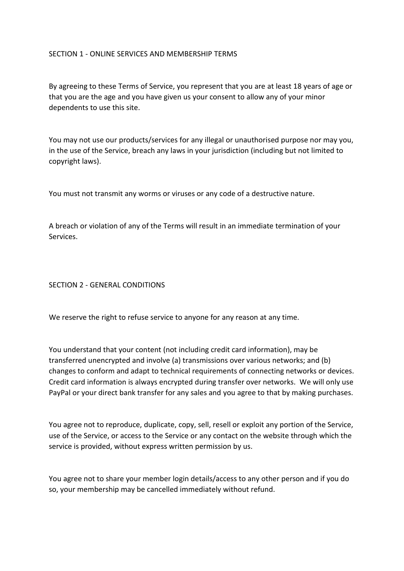### SECTION 1 - ONLINE SERVICES AND MEMBERSHIP TERMS

By agreeing to these Terms of Service, you represent that you are at least 18 years of age or that you are the age and you have given us your consent to allow any of your minor dependents to use this site.

You may not use our products/services for any illegal or unauthorised purpose nor may you, in the use of the Service, breach any laws in your jurisdiction (including but not limited to copyright laws).

You must not transmit any worms or viruses or any code of a destructive nature.

A breach or violation of any of the Terms will result in an immediate termination of your Services.

SECTION 2 - GENERAL CONDITIONS

We reserve the right to refuse service to anyone for any reason at any time.

You understand that your content (not including credit card information), may be transferred unencrypted and involve (a) transmissions over various networks; and (b) changes to conform and adapt to technical requirements of connecting networks or devices. Credit card information is always encrypted during transfer over networks. We will only use PayPal or your direct bank transfer for any sales and you agree to that by making purchases.

You agree not to reproduce, duplicate, copy, sell, resell or exploit any portion of the Service, use of the Service, or access to the Service or any contact on the website through which the service is provided, without express written permission by us.

You agree not to share your member login details/access to any other person and if you do so, your membership may be cancelled immediately without refund.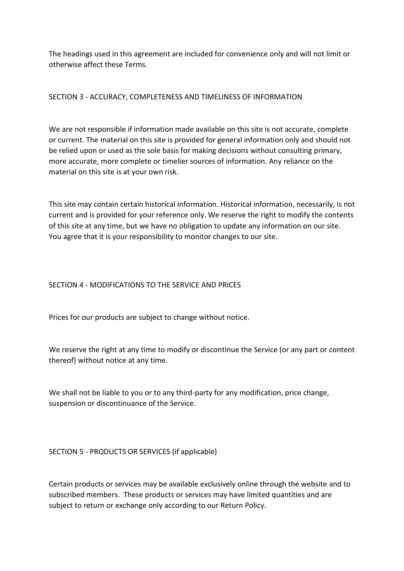The headings used in this agreement are included for convenience only and will not limit or otherwise affect these Terms.

# SECTION 3 - ACCURACY, COMPLETENESS AND TIMELINESS OF INFORMATION

We are not responsible if information made available on this site is not accurate, complete or current. The material on this site is provided for general information only and should not be relied upon or used as the sole basis for making decisions without consulting primary, more accurate, more complete or timelier sources of information. Any reliance on the material on this site is at your own risk.

This site may contain certain historical information. Historical information, necessarily, is not current and is provided for your reference only. We reserve the right to modify the contents of this site at any time, but we have no obligation to update any information on our site. You agree that it is your responsibility to monitor changes to our site.

## SECTION 4 - MODIFICATIONS TO THE SERVICE AND PRICES

Prices for our products are subject to change without notice.

We reserve the right at any time to modify or discontinue the Service (or any part or content thereof) without notice at any time.

We shall not be liable to you or to any third-party for any modification, price change, suspension or discontinuance of the Service.

SECTION 5 - PRODUCTS OR SERVICES (if applicable)

Certain products or services may be available exclusively online through the website and to subscribed members. These products or services may have limited quantities and are subject to return or exchange only according to our Return Policy.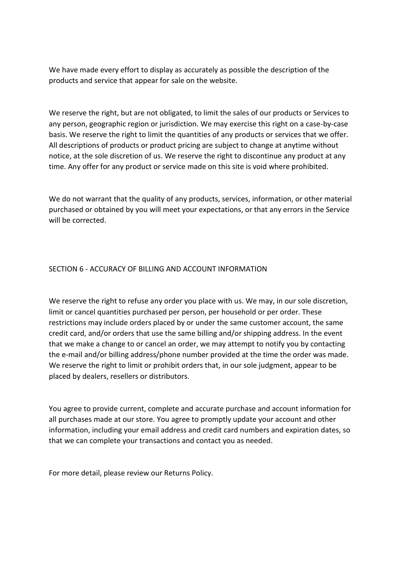We have made every effort to display as accurately as possible the description of the products and service that appear for sale on the website.

We reserve the right, but are not obligated, to limit the sales of our products or Services to any person, geographic region or jurisdiction. We may exercise this right on a case-by-case basis. We reserve the right to limit the quantities of any products or services that we offer. All descriptions of products or product pricing are subject to change at anytime without notice, at the sole discretion of us. We reserve the right to discontinue any product at any time. Any offer for any product or service made on this site is void where prohibited.

We do not warrant that the quality of any products, services, information, or other material purchased or obtained by you will meet your expectations, or that any errors in the Service will be corrected.

## SECTION 6 - ACCURACY OF BILLING AND ACCOUNT INFORMATION

We reserve the right to refuse any order you place with us. We may, in our sole discretion, limit or cancel quantities purchased per person, per household or per order. These restrictions may include orders placed by or under the same customer account, the same credit card, and/or orders that use the same billing and/or shipping address. In the event that we make a change to or cancel an order, we may attempt to notify you by contacting the e-mail and/or billing address/phone number provided at the time the order was made. We reserve the right to limit or prohibit orders that, in our sole judgment, appear to be placed by dealers, resellers or distributors.

You agree to provide current, complete and accurate purchase and account information for all purchases made at our store. You agree to promptly update your account and other information, including your email address and credit card numbers and expiration dates, so that we can complete your transactions and contact you as needed.

For more detail, please review our Returns Policy.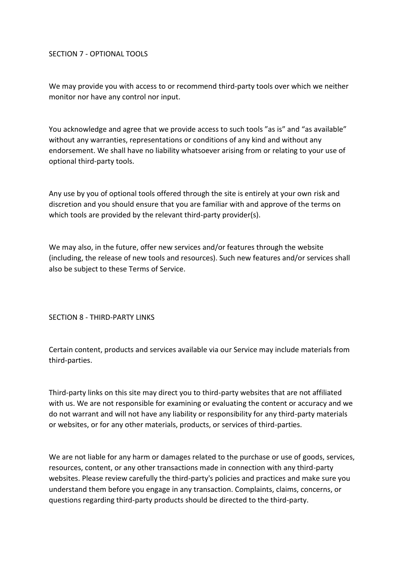### SECTION 7 - OPTIONAL TOOLS

We may provide you with access to or recommend third-party tools over which we neither monitor nor have any control nor input.

You acknowledge and agree that we provide access to such tools "as is" and "as available" without any warranties, representations or conditions of any kind and without any endorsement. We shall have no liability whatsoever arising from or relating to your use of optional third-party tools.

Any use by you of optional tools offered through the site is entirely at your own risk and discretion and you should ensure that you are familiar with and approve of the terms on which tools are provided by the relevant third-party provider(s).

We may also, in the future, offer new services and/or features through the website (including, the release of new tools and resources). Such new features and/or services shall also be subject to these Terms of Service.

SECTION 8 - THIRD-PARTY LINKS

Certain content, products and services available via our Service may include materials from third-parties.

Third-party links on this site may direct you to third-party websites that are not affiliated with us. We are not responsible for examining or evaluating the content or accuracy and we do not warrant and will not have any liability or responsibility for any third-party materials or websites, or for any other materials, products, or services of third-parties.

We are not liable for any harm or damages related to the purchase or use of goods, services, resources, content, or any other transactions made in connection with any third-party websites. Please review carefully the third-party's policies and practices and make sure you understand them before you engage in any transaction. Complaints, claims, concerns, or questions regarding third-party products should be directed to the third-party.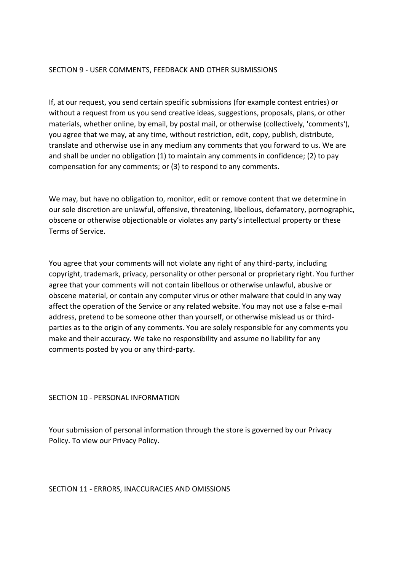### SECTION 9 - USER COMMENTS, FEEDBACK AND OTHER SUBMISSIONS

If, at our request, you send certain specific submissions (for example contest entries) or without a request from us you send creative ideas, suggestions, proposals, plans, or other materials, whether online, by email, by postal mail, or otherwise (collectively, 'comments'), you agree that we may, at any time, without restriction, edit, copy, publish, distribute, translate and otherwise use in any medium any comments that you forward to us. We are and shall be under no obligation (1) to maintain any comments in confidence; (2) to pay compensation for any comments; or (3) to respond to any comments.

We may, but have no obligation to, monitor, edit or remove content that we determine in our sole discretion are unlawful, offensive, threatening, libellous, defamatory, pornographic, obscene or otherwise objectionable or violates any party's intellectual property or these Terms of Service.

You agree that your comments will not violate any right of any third-party, including copyright, trademark, privacy, personality or other personal or proprietary right. You further agree that your comments will not contain libellous or otherwise unlawful, abusive or obscene material, or contain any computer virus or other malware that could in any way affect the operation of the Service or any related website. You may not use a false e-mail address, pretend to be someone other than yourself, or otherwise mislead us or thirdparties as to the origin of any comments. You are solely responsible for any comments you make and their accuracy. We take no responsibility and assume no liability for any comments posted by you or any third-party.

### SECTION 10 - PERSONAL INFORMATION

Your submission of personal information through the store is governed by our Privacy Policy. To view our Privacy Policy.

SECTION 11 - ERRORS, INACCURACIES AND OMISSIONS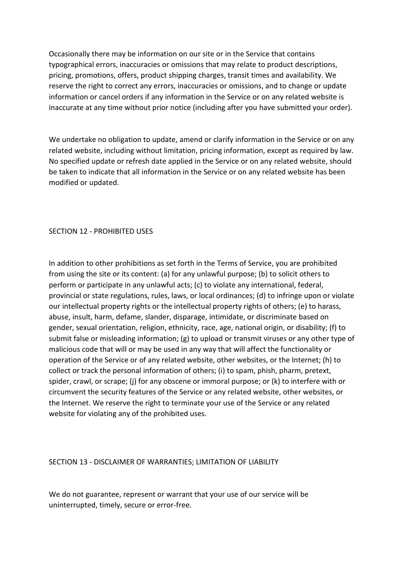Occasionally there may be information on our site or in the Service that contains typographical errors, inaccuracies or omissions that may relate to product descriptions, pricing, promotions, offers, product shipping charges, transit times and availability. We reserve the right to correct any errors, inaccuracies or omissions, and to change or update information or cancel orders if any information in the Service or on any related website is inaccurate at any time without prior notice (including after you have submitted your order).

We undertake no obligation to update, amend or clarify information in the Service or on any related website, including without limitation, pricing information, except as required by law. No specified update or refresh date applied in the Service or on any related website, should be taken to indicate that all information in the Service or on any related website has been modified or updated.

## SECTION 12 - PROHIBITED USES

In addition to other prohibitions as set forth in the Terms of Service, you are prohibited from using the site or its content: (a) for any unlawful purpose; (b) to solicit others to perform or participate in any unlawful acts; (c) to violate any international, federal, provincial or state regulations, rules, laws, or local ordinances; (d) to infringe upon or violate our intellectual property rights or the intellectual property rights of others; (e) to harass, abuse, insult, harm, defame, slander, disparage, intimidate, or discriminate based on gender, sexual orientation, religion, ethnicity, race, age, national origin, or disability; (f) to submit false or misleading information; (g) to upload or transmit viruses or any other type of malicious code that will or may be used in any way that will affect the functionality or operation of the Service or of any related website, other websites, or the Internet; (h) to collect or track the personal information of others; (i) to spam, phish, pharm, pretext, spider, crawl, or scrape; (j) for any obscene or immoral purpose; or (k) to interfere with or circumvent the security features of the Service or any related website, other websites, or the Internet. We reserve the right to terminate your use of the Service or any related website for violating any of the prohibited uses.

### SECTION 13 - DISCLAIMER OF WARRANTIES; LIMITATION OF LIABILITY

We do not guarantee, represent or warrant that your use of our service will be uninterrupted, timely, secure or error-free.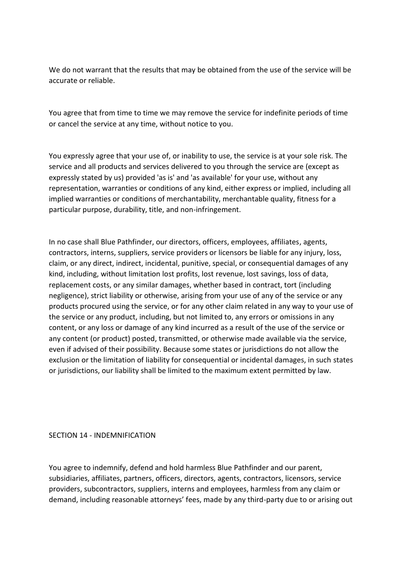We do not warrant that the results that may be obtained from the use of the service will be accurate or reliable.

You agree that from time to time we may remove the service for indefinite periods of time or cancel the service at any time, without notice to you.

You expressly agree that your use of, or inability to use, the service is at your sole risk. The service and all products and services delivered to you through the service are (except as expressly stated by us) provided 'as is' and 'as available' for your use, without any representation, warranties or conditions of any kind, either express or implied, including all implied warranties or conditions of merchantability, merchantable quality, fitness for a particular purpose, durability, title, and non-infringement.

In no case shall Blue Pathfinder, our directors, officers, employees, affiliates, agents, contractors, interns, suppliers, service providers or licensors be liable for any injury, loss, claim, or any direct, indirect, incidental, punitive, special, or consequential damages of any kind, including, without limitation lost profits, lost revenue, lost savings, loss of data, replacement costs, or any similar damages, whether based in contract, tort (including negligence), strict liability or otherwise, arising from your use of any of the service or any products procured using the service, or for any other claim related in any way to your use of the service or any product, including, but not limited to, any errors or omissions in any content, or any loss or damage of any kind incurred as a result of the use of the service or any content (or product) posted, transmitted, or otherwise made available via the service, even if advised of their possibility. Because some states or jurisdictions do not allow the exclusion or the limitation of liability for consequential or incidental damages, in such states or jurisdictions, our liability shall be limited to the maximum extent permitted by law.

### SECTION 14 - INDEMNIFICATION

You agree to indemnify, defend and hold harmless Blue Pathfinder and our parent, subsidiaries, affiliates, partners, officers, directors, agents, contractors, licensors, service providers, subcontractors, suppliers, interns and employees, harmless from any claim or demand, including reasonable attorneys' fees, made by any third-party due to or arising out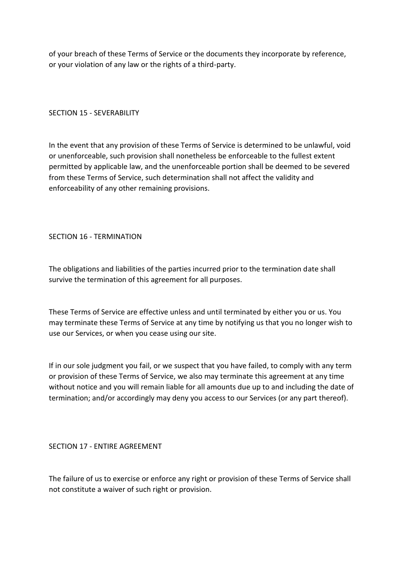of your breach of these Terms of Service or the documents they incorporate by reference, or your violation of any law or the rights of a third-party.

SECTION 15 - SEVERABILITY

In the event that any provision of these Terms of Service is determined to be unlawful, void or unenforceable, such provision shall nonetheless be enforceable to the fullest extent permitted by applicable law, and the unenforceable portion shall be deemed to be severed from these Terms of Service, such determination shall not affect the validity and enforceability of any other remaining provisions.

# SECTION 16 - TERMINATION

The obligations and liabilities of the parties incurred prior to the termination date shall survive the termination of this agreement for all purposes.

These Terms of Service are effective unless and until terminated by either you or us. You may terminate these Terms of Service at any time by notifying us that you no longer wish to use our Services, or when you cease using our site.

If in our sole judgment you fail, or we suspect that you have failed, to comply with any term or provision of these Terms of Service, we also may terminate this agreement at any time without notice and you will remain liable for all amounts due up to and including the date of termination; and/or accordingly may deny you access to our Services (or any part thereof).

# SECTION 17 - ENTIRE AGREEMENT

The failure of us to exercise or enforce any right or provision of these Terms of Service shall not constitute a waiver of such right or provision.